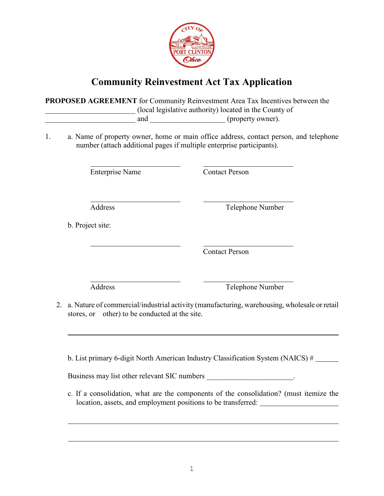

## **Community Reinvestment Act Tax Application**

**PROPOSED AGREEMENT** for Community Reinvestment Area Tax Incentives between the \_\_\_\_\_\_\_\_\_\_\_\_\_\_\_\_\_\_\_\_\_\_\_\_ (local legislative authority) located in the County of and  $(property ~ owner).$ 

1. a. Name of property owner, home or main office address, contact person, and telephone number (attach additional pages if multiple enterprise participants).

Enterprise Name Contact Person

Address Telephone Number

b. Project site:

Contact Person

Address Telephone Number

2. a. Nature of commercial/industrial activity (manufacturing, warehousing, wholesale or retail stores, or other) to be conducted at the site.

b. List primary 6-digit North American Industry Classification System (NAICS) #

Business may list other relevant SIC numbers  $\blacksquare$ 

c. If a consolidation, what are the components of the consolidation? (must itemize the location, assets, and employment positions to be transferred: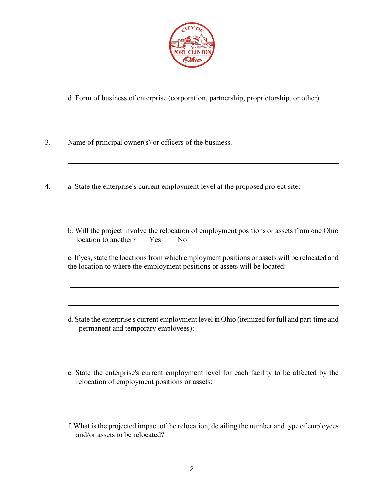

d. Form of business of enterprise (corporation, partnership, proprietorship, or other).

3. Name of principal owner(s) or officers of the business.

 $\overline{a}$ 

- 4. a. State the enterprise's current employment level at the proposed project site:
	- b. Will the project involve the relocation of employment positions or assets from one Ohio location to another? Yes No

c. If yes, state the locations from which employment positions or assets will be relocated and the location to where the employment positions or assets will be located:

- d. State the enterprise's current employment level in Ohio (itemized for full and part-time and permanent and temporary employees):
- e. State the enterprise's current employment level for each facility to be affected by the relocation of employment positions or assets:
- f. What is the projected impact of the relocation, detailing the number and type of employees and/or assets to be relocated?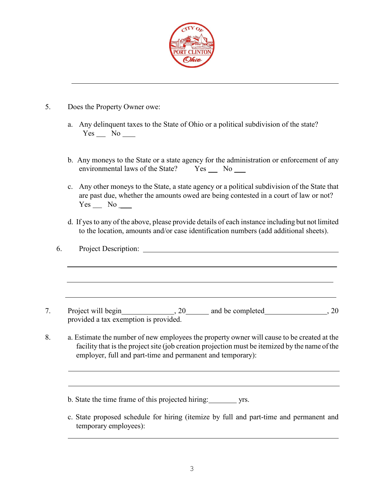

## 5. Does the Property Owner owe:

- a. Any delinquent taxes to the State of Ohio or a political subdivision of the state?  $Yes$  No  $\_\_$
- b. Any moneys to the State or a state agency for the administration or enforcement of any environmental laws of the State? Yes No
- c. Any other moneys to the State, a state agency or a political subdivision of the State that are past due, whether the amounts owed are being contested in a court of law or not? Yes No
- d. If yes to any of the above, please provide details of each instance including but not limited to the location, amounts and/or case identification numbers (add additional sheets).

6. Project Description: 7. Project will begin , 20 and be completed , 20 and 5.20 provided a tax exemption is provided.

- 8. a. Estimate the number of new employees the property owner will cause to be created at the facility that is the project site (job creation projection must be itemized by the name of the employer, full and part-time and permanent and temporary):
	- b. State the time frame of this projected hiring: yrs.
	- c. State proposed schedule for hiring (itemize by full and part-time and permanent and temporary employees):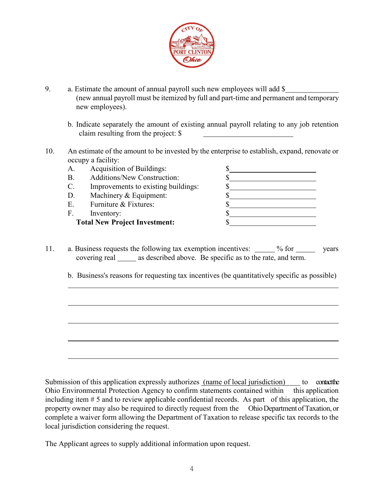

- 9. a. Estimate the amount of annual payroll such new employees will add \$ (new annual payroll must be itemized by full and part-time and permanent and temporary new employees).
	- b. Indicate separately the amount of existing annual payroll relating to any job retention claim resulting from the project: \$
- 10. An estimate of the amount to be invested by the enterprise to establish, expand, renovate or occupy a facility:

| А.                                   | Acquisition of Buildings:           |  |
|--------------------------------------|-------------------------------------|--|
| <b>B.</b>                            | <b>Additions/New Construction:</b>  |  |
| C.                                   | Improvements to existing buildings: |  |
| D.                                   | Machinery & Equipment:              |  |
| Ε.                                   | Furniture & Fixtures:               |  |
| F.                                   | Inventory:                          |  |
| <b>Total New Project Investment:</b> |                                     |  |

- 11. a. Business requests the following tax exemption incentives: \_\_\_\_\_ % for \_\_\_\_\_\_ years covering real \_\_\_\_\_\_ as described above. Be specific as to the rate, and term.
	- b. Business's reasons for requesting tax incentives (be quantitatively specific as possible)

Submission of this application expressly authorizes (name of local jurisdiction) to contact the Ohio Environmental Protection Agency to confirm statements contained within this application including item # 5 and to review applicable confidential records. As part of this application, the property owner may also be required to directly request from the Ohio Department of Taxation, or complete a waiver form allowing the Department of Taxation to release specific tax records to the local jurisdiction considering the request.

The Applicant agrees to supply additional information upon request.